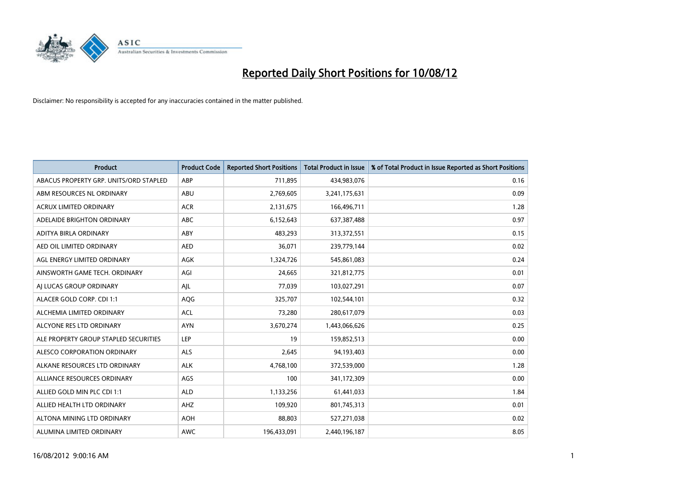

| <b>Product</b>                         | <b>Product Code</b> | <b>Reported Short Positions</b> | <b>Total Product in Issue</b> | % of Total Product in Issue Reported as Short Positions |
|----------------------------------------|---------------------|---------------------------------|-------------------------------|---------------------------------------------------------|
| ABACUS PROPERTY GRP. UNITS/ORD STAPLED | ABP                 | 711,895                         | 434,983,076                   | 0.16                                                    |
| ABM RESOURCES NL ORDINARY              | ABU                 | 2,769,605                       | 3,241,175,631                 | 0.09                                                    |
| <b>ACRUX LIMITED ORDINARY</b>          | <b>ACR</b>          | 2,131,675                       | 166,496,711                   | 1.28                                                    |
| ADELAIDE BRIGHTON ORDINARY             | <b>ABC</b>          | 6,152,643                       | 637,387,488                   | 0.97                                                    |
| <b>ADITYA BIRLA ORDINARY</b>           | ABY                 | 483,293                         | 313,372,551                   | 0.15                                                    |
| AED OIL LIMITED ORDINARY               | <b>AED</b>          | 36,071                          | 239,779,144                   | 0.02                                                    |
| AGL ENERGY LIMITED ORDINARY            | <b>AGK</b>          | 1,324,726                       | 545,861,083                   | 0.24                                                    |
| AINSWORTH GAME TECH. ORDINARY          | AGI                 | 24,665                          | 321,812,775                   | 0.01                                                    |
| AI LUCAS GROUP ORDINARY                | AJL                 | 77,039                          | 103,027,291                   | 0.07                                                    |
| ALACER GOLD CORP. CDI 1:1              | AQG                 | 325,707                         | 102,544,101                   | 0.32                                                    |
| ALCHEMIA LIMITED ORDINARY              | <b>ACL</b>          | 73,280                          | 280,617,079                   | 0.03                                                    |
| ALCYONE RES LTD ORDINARY               | <b>AYN</b>          | 3,670,274                       | 1,443,066,626                 | 0.25                                                    |
| ALE PROPERTY GROUP STAPLED SECURITIES  | LEP                 | 19                              | 159,852,513                   | 0.00                                                    |
| ALESCO CORPORATION ORDINARY            | ALS                 | 2,645                           | 94,193,403                    | 0.00                                                    |
| ALKANE RESOURCES LTD ORDINARY          | <b>ALK</b>          | 4,768,100                       | 372,539,000                   | 1.28                                                    |
| ALLIANCE RESOURCES ORDINARY            | AGS                 | 100                             | 341,172,309                   | 0.00                                                    |
| ALLIED GOLD MIN PLC CDI 1:1            | <b>ALD</b>          | 1,133,256                       | 61,441,033                    | 1.84                                                    |
| ALLIED HEALTH LTD ORDINARY             | <b>AHZ</b>          | 109,920                         | 801,745,313                   | 0.01                                                    |
| ALTONA MINING LTD ORDINARY             | <b>AOH</b>          | 88,803                          | 527,271,038                   | 0.02                                                    |
| ALUMINA LIMITED ORDINARY               | <b>AWC</b>          | 196,433,091                     | 2,440,196,187                 | 8.05                                                    |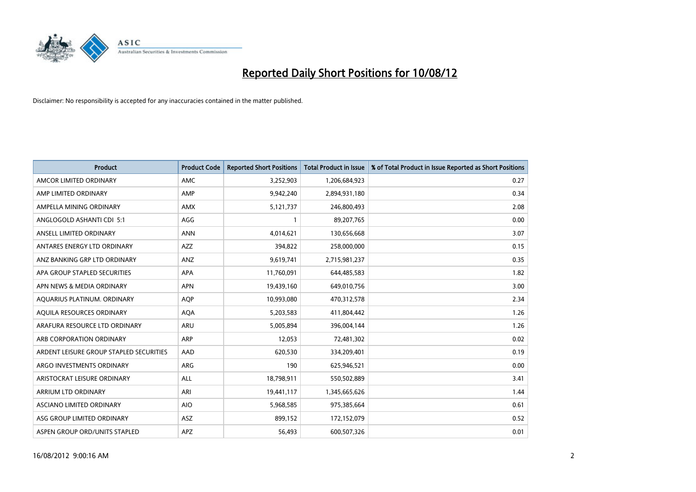

| <b>Product</b>                          | <b>Product Code</b> | <b>Reported Short Positions</b> | <b>Total Product in Issue</b> | % of Total Product in Issue Reported as Short Positions |
|-----------------------------------------|---------------------|---------------------------------|-------------------------------|---------------------------------------------------------|
| AMCOR LIMITED ORDINARY                  | <b>AMC</b>          | 3,252,903                       | 1,206,684,923                 | 0.27                                                    |
| AMP LIMITED ORDINARY                    | AMP                 | 9,942,240                       | 2,894,931,180                 | 0.34                                                    |
| AMPELLA MINING ORDINARY                 | <b>AMX</b>          | 5,121,737                       | 246,800,493                   | 2.08                                                    |
| ANGLOGOLD ASHANTI CDI 5:1               | AGG                 |                                 | 89,207,765                    | 0.00                                                    |
| ANSELL LIMITED ORDINARY                 | <b>ANN</b>          | 4,014,621                       | 130,656,668                   | 3.07                                                    |
| ANTARES ENERGY LTD ORDINARY             | <b>AZZ</b>          | 394,822                         | 258,000,000                   | 0.15                                                    |
| ANZ BANKING GRP LTD ORDINARY            | <b>ANZ</b>          | 9,619,741                       | 2,715,981,237                 | 0.35                                                    |
| APA GROUP STAPLED SECURITIES            | <b>APA</b>          | 11,760,091                      | 644,485,583                   | 1.82                                                    |
| APN NEWS & MEDIA ORDINARY               | <b>APN</b>          | 19,439,160                      | 649,010,756                   | 3.00                                                    |
| AQUARIUS PLATINUM. ORDINARY             | <b>AOP</b>          | 10,993,080                      | 470,312,578                   | 2.34                                                    |
| AQUILA RESOURCES ORDINARY               | <b>AQA</b>          | 5,203,583                       | 411,804,442                   | 1.26                                                    |
| ARAFURA RESOURCE LTD ORDINARY           | <b>ARU</b>          | 5,005,894                       | 396,004,144                   | 1.26                                                    |
| ARB CORPORATION ORDINARY                | <b>ARP</b>          | 12,053                          | 72,481,302                    | 0.02                                                    |
| ARDENT LEISURE GROUP STAPLED SECURITIES | AAD                 | 620,530                         | 334,209,401                   | 0.19                                                    |
| ARGO INVESTMENTS ORDINARY               | <b>ARG</b>          | 190                             | 625,946,521                   | 0.00                                                    |
| ARISTOCRAT LEISURE ORDINARY             | ALL                 | 18,798,911                      | 550,502,889                   | 3.41                                                    |
| ARRIUM LTD ORDINARY                     | ARI                 | 19,441,117                      | 1,345,665,626                 | 1.44                                                    |
| ASCIANO LIMITED ORDINARY                | <b>AIO</b>          | 5,968,585                       | 975,385,664                   | 0.61                                                    |
| ASG GROUP LIMITED ORDINARY              | <b>ASZ</b>          | 899,152                         | 172,152,079                   | 0.52                                                    |
| ASPEN GROUP ORD/UNITS STAPLED           | APZ                 | 56,493                          | 600,507,326                   | 0.01                                                    |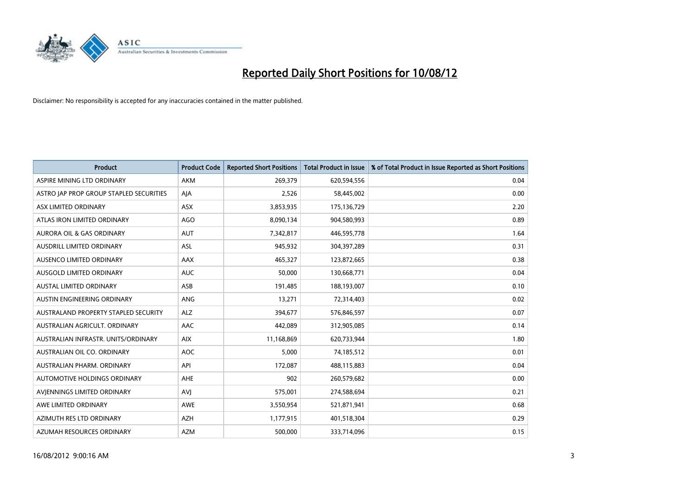

| <b>Product</b>                          | <b>Product Code</b> | <b>Reported Short Positions</b> | <b>Total Product in Issue</b> | % of Total Product in Issue Reported as Short Positions |
|-----------------------------------------|---------------------|---------------------------------|-------------------------------|---------------------------------------------------------|
| ASPIRE MINING LTD ORDINARY              | <b>AKM</b>          | 269,379                         | 620,594,556                   | 0.04                                                    |
| ASTRO JAP PROP GROUP STAPLED SECURITIES | AJA                 | 2,526                           | 58,445,002                    | 0.00                                                    |
| ASX LIMITED ORDINARY                    | <b>ASX</b>          | 3,853,935                       | 175,136,729                   | 2.20                                                    |
| ATLAS IRON LIMITED ORDINARY             | AGO                 | 8,090,134                       | 904,580,993                   | 0.89                                                    |
| <b>AURORA OIL &amp; GAS ORDINARY</b>    | <b>AUT</b>          | 7,342,817                       | 446,595,778                   | 1.64                                                    |
| AUSDRILL LIMITED ORDINARY               | <b>ASL</b>          | 945,932                         | 304,397,289                   | 0.31                                                    |
| AUSENCO LIMITED ORDINARY                | <b>AAX</b>          | 465,327                         | 123,872,665                   | 0.38                                                    |
| AUSGOLD LIMITED ORDINARY                | <b>AUC</b>          | 50,000                          | 130,668,771                   | 0.04                                                    |
| <b>AUSTAL LIMITED ORDINARY</b>          | ASB                 | 191,485                         | 188,193,007                   | 0.10                                                    |
| AUSTIN ENGINEERING ORDINARY             | ANG                 | 13,271                          | 72,314,403                    | 0.02                                                    |
| AUSTRALAND PROPERTY STAPLED SECURITY    | <b>ALZ</b>          | 394,677                         | 576,846,597                   | 0.07                                                    |
| AUSTRALIAN AGRICULT, ORDINARY           | AAC                 | 442,089                         | 312,905,085                   | 0.14                                                    |
| AUSTRALIAN INFRASTR. UNITS/ORDINARY     | <b>AIX</b>          | 11,168,869                      | 620,733,944                   | 1.80                                                    |
| AUSTRALIAN OIL CO. ORDINARY             | <b>AOC</b>          | 5,000                           | 74,185,512                    | 0.01                                                    |
| AUSTRALIAN PHARM, ORDINARY              | API                 | 172,087                         | 488,115,883                   | 0.04                                                    |
| AUTOMOTIVE HOLDINGS ORDINARY            | AHE                 | 902                             | 260,579,682                   | 0.00                                                    |
| AVIENNINGS LIMITED ORDINARY             | AVI                 | 575,001                         | 274,588,694                   | 0.21                                                    |
| AWE LIMITED ORDINARY                    | <b>AWE</b>          | 3,550,954                       | 521,871,941                   | 0.68                                                    |
| AZIMUTH RES LTD ORDINARY                | <b>AZH</b>          | 1,177,915                       | 401,518,304                   | 0.29                                                    |
| AZUMAH RESOURCES ORDINARY               | <b>AZM</b>          | 500,000                         | 333,714,096                   | 0.15                                                    |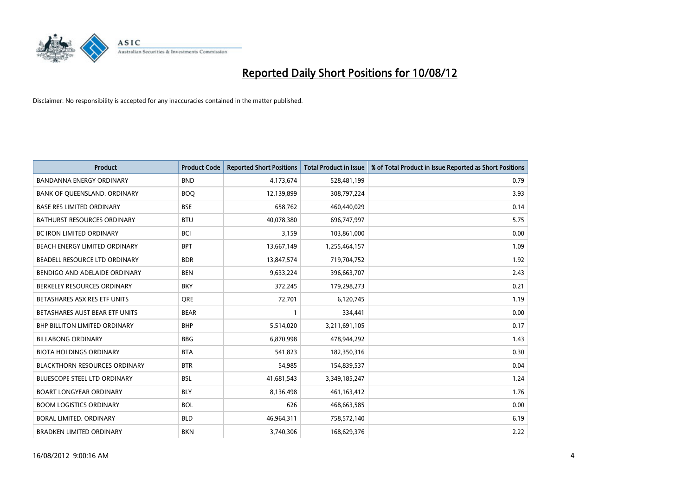

| <b>Product</b>                       | <b>Product Code</b> | <b>Reported Short Positions</b> | <b>Total Product in Issue</b> | % of Total Product in Issue Reported as Short Positions |
|--------------------------------------|---------------------|---------------------------------|-------------------------------|---------------------------------------------------------|
| <b>BANDANNA ENERGY ORDINARY</b>      | <b>BND</b>          | 4,173,674                       | 528,481,199                   | 0.79                                                    |
| BANK OF QUEENSLAND. ORDINARY         | <b>BOQ</b>          | 12,139,899                      | 308,797,224                   | 3.93                                                    |
| <b>BASE RES LIMITED ORDINARY</b>     | <b>BSE</b>          | 658,762                         | 460,440,029                   | 0.14                                                    |
| BATHURST RESOURCES ORDINARY          | <b>BTU</b>          | 40,078,380                      | 696,747,997                   | 5.75                                                    |
| <b>BC IRON LIMITED ORDINARY</b>      | <b>BCI</b>          | 3,159                           | 103,861,000                   | 0.00                                                    |
| <b>BEACH ENERGY LIMITED ORDINARY</b> | <b>BPT</b>          | 13,667,149                      | 1,255,464,157                 | 1.09                                                    |
| BEADELL RESOURCE LTD ORDINARY        | <b>BDR</b>          | 13,847,574                      | 719,704,752                   | 1.92                                                    |
| BENDIGO AND ADELAIDE ORDINARY        | <b>BEN</b>          | 9,633,224                       | 396,663,707                   | 2.43                                                    |
| BERKELEY RESOURCES ORDINARY          | <b>BKY</b>          | 372,245                         | 179,298,273                   | 0.21                                                    |
| BETASHARES ASX RES ETF UNITS         | <b>ORE</b>          | 72,701                          | 6,120,745                     | 1.19                                                    |
| BETASHARES AUST BEAR ETF UNITS       | <b>BEAR</b>         |                                 | 334,441                       | 0.00                                                    |
| <b>BHP BILLITON LIMITED ORDINARY</b> | <b>BHP</b>          | 5,514,020                       | 3,211,691,105                 | 0.17                                                    |
| <b>BILLABONG ORDINARY</b>            | <b>BBG</b>          | 6,870,998                       | 478,944,292                   | 1.43                                                    |
| <b>BIOTA HOLDINGS ORDINARY</b>       | <b>BTA</b>          | 541,823                         | 182,350,316                   | 0.30                                                    |
| <b>BLACKTHORN RESOURCES ORDINARY</b> | <b>BTR</b>          | 54,985                          | 154,839,537                   | 0.04                                                    |
| BLUESCOPE STEEL LTD ORDINARY         | <b>BSL</b>          | 41,681,543                      | 3,349,185,247                 | 1.24                                                    |
| <b>BOART LONGYEAR ORDINARY</b>       | <b>BLY</b>          | 8,136,498                       | 461,163,412                   | 1.76                                                    |
| <b>BOOM LOGISTICS ORDINARY</b>       | <b>BOL</b>          | 626                             | 468,663,585                   | 0.00                                                    |
| BORAL LIMITED, ORDINARY              | <b>BLD</b>          | 46,964,311                      | 758,572,140                   | 6.19                                                    |
| <b>BRADKEN LIMITED ORDINARY</b>      | <b>BKN</b>          | 3,740,306                       | 168,629,376                   | 2.22                                                    |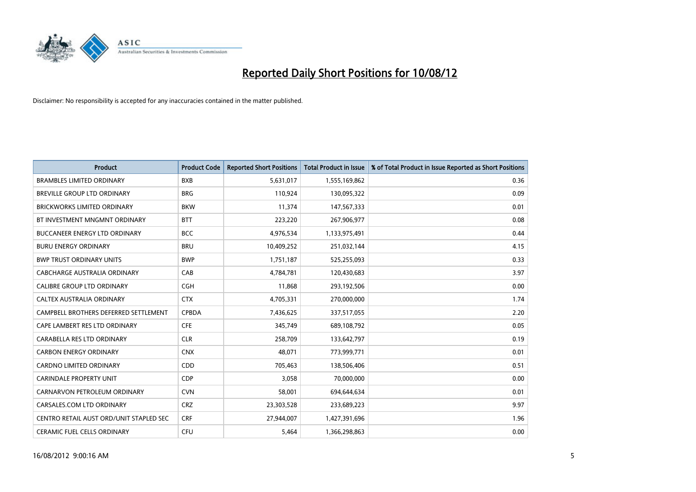

| <b>Product</b>                          | <b>Product Code</b> | <b>Reported Short Positions</b> | <b>Total Product in Issue</b> | % of Total Product in Issue Reported as Short Positions |
|-----------------------------------------|---------------------|---------------------------------|-------------------------------|---------------------------------------------------------|
| <b>BRAMBLES LIMITED ORDINARY</b>        | <b>BXB</b>          | 5,631,017                       | 1,555,169,862                 | 0.36                                                    |
| BREVILLE GROUP LTD ORDINARY             | <b>BRG</b>          | 110,924                         | 130,095,322                   | 0.09                                                    |
| <b>BRICKWORKS LIMITED ORDINARY</b>      | <b>BKW</b>          | 11,374                          | 147,567,333                   | 0.01                                                    |
| BT INVESTMENT MNGMNT ORDINARY           | <b>BTT</b>          | 223,220                         | 267,906,977                   | 0.08                                                    |
| <b>BUCCANEER ENERGY LTD ORDINARY</b>    | <b>BCC</b>          | 4,976,534                       | 1,133,975,491                 | 0.44                                                    |
| <b>BURU ENERGY ORDINARY</b>             | <b>BRU</b>          | 10,409,252                      | 251,032,144                   | 4.15                                                    |
| <b>BWP TRUST ORDINARY UNITS</b>         | <b>BWP</b>          | 1,751,187                       | 525,255,093                   | 0.33                                                    |
| CABCHARGE AUSTRALIA ORDINARY            | CAB                 | 4,784,781                       | 120,430,683                   | 3.97                                                    |
| <b>CALIBRE GROUP LTD ORDINARY</b>       | <b>CGH</b>          | 11,868                          | 293,192,506                   | 0.00                                                    |
| <b>CALTEX AUSTRALIA ORDINARY</b>        | <b>CTX</b>          | 4,705,331                       | 270,000,000                   | 1.74                                                    |
| CAMPBELL BROTHERS DEFERRED SETTLEMENT   | <b>CPBDA</b>        | 7,436,625                       | 337,517,055                   | 2.20                                                    |
| CAPE LAMBERT RES LTD ORDINARY           | <b>CFE</b>          | 345,749                         | 689,108,792                   | 0.05                                                    |
| CARABELLA RES LTD ORDINARY              | <b>CLR</b>          | 258,709                         | 133,642,797                   | 0.19                                                    |
| <b>CARBON ENERGY ORDINARY</b>           | <b>CNX</b>          | 48,071                          | 773,999,771                   | 0.01                                                    |
| <b>CARDNO LIMITED ORDINARY</b>          | <b>CDD</b>          | 705,463                         | 138,506,406                   | 0.51                                                    |
| <b>CARINDALE PROPERTY UNIT</b>          | <b>CDP</b>          | 3,058                           | 70,000,000                    | 0.00                                                    |
| CARNARVON PETROLEUM ORDINARY            | <b>CVN</b>          | 58,001                          | 694,644,634                   | 0.01                                                    |
| CARSALES.COM LTD ORDINARY               | <b>CRZ</b>          | 23,303,528                      | 233,689,223                   | 9.97                                                    |
| CENTRO RETAIL AUST ORD/UNIT STAPLED SEC | <b>CRF</b>          | 27,944,007                      | 1,427,391,696                 | 1.96                                                    |
| CERAMIC FUEL CELLS ORDINARY             | CFU                 | 5,464                           | 1,366,298,863                 | 0.00                                                    |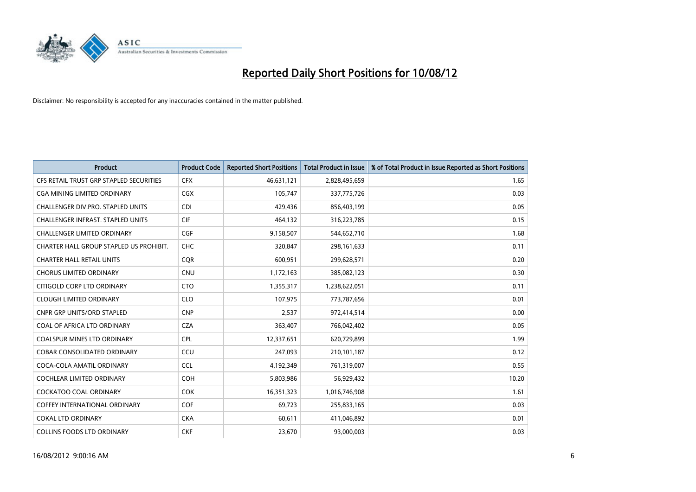

| <b>Product</b>                           | <b>Product Code</b> | <b>Reported Short Positions</b> | <b>Total Product in Issue</b> | % of Total Product in Issue Reported as Short Positions |
|------------------------------------------|---------------------|---------------------------------|-------------------------------|---------------------------------------------------------|
| CFS RETAIL TRUST GRP STAPLED SECURITIES  | <b>CFX</b>          | 46,631,121                      | 2,828,495,659                 | 1.65                                                    |
| CGA MINING LIMITED ORDINARY              | CGX                 | 105,747                         | 337,775,726                   | 0.03                                                    |
| <b>CHALLENGER DIV.PRO. STAPLED UNITS</b> | <b>CDI</b>          | 429,436                         | 856,403,199                   | 0.05                                                    |
| CHALLENGER INFRAST. STAPLED UNITS        | <b>CIF</b>          | 464,132                         | 316,223,785                   | 0.15                                                    |
| <b>CHALLENGER LIMITED ORDINARY</b>       | <b>CGF</b>          | 9,158,507                       | 544,652,710                   | 1.68                                                    |
| CHARTER HALL GROUP STAPLED US PROHIBIT.  | <b>CHC</b>          | 320,847                         | 298,161,633                   | 0.11                                                    |
| <b>CHARTER HALL RETAIL UNITS</b>         | <b>COR</b>          | 600,951                         | 299,628,571                   | 0.20                                                    |
| <b>CHORUS LIMITED ORDINARY</b>           | <b>CNU</b>          | 1,172,163                       | 385,082,123                   | 0.30                                                    |
| CITIGOLD CORP LTD ORDINARY               | <b>CTO</b>          | 1,355,317                       | 1,238,622,051                 | 0.11                                                    |
| <b>CLOUGH LIMITED ORDINARY</b>           | <b>CLO</b>          | 107,975                         | 773,787,656                   | 0.01                                                    |
| CNPR GRP UNITS/ORD STAPLED               | <b>CNP</b>          | 2,537                           | 972,414,514                   | 0.00                                                    |
| COAL OF AFRICA LTD ORDINARY              | <b>CZA</b>          | 363,407                         | 766,042,402                   | 0.05                                                    |
| COALSPUR MINES LTD ORDINARY              | <b>CPL</b>          | 12,337,651                      | 620,729,899                   | 1.99                                                    |
| COBAR CONSOLIDATED ORDINARY              | CCU                 | 247,093                         | 210,101,187                   | 0.12                                                    |
| COCA-COLA AMATIL ORDINARY                | <b>CCL</b>          | 4,192,349                       | 761,319,007                   | 0.55                                                    |
| COCHLEAR LIMITED ORDINARY                | <b>COH</b>          | 5,803,986                       | 56,929,432                    | 10.20                                                   |
| COCKATOO COAL ORDINARY                   | <b>COK</b>          | 16,351,323                      | 1,016,746,908                 | 1.61                                                    |
| COFFEY INTERNATIONAL ORDINARY            | <b>COF</b>          | 69,723                          | 255,833,165                   | 0.03                                                    |
| <b>COKAL LTD ORDINARY</b>                | <b>CKA</b>          | 60,611                          | 411,046,892                   | 0.01                                                    |
| <b>COLLINS FOODS LTD ORDINARY</b>        | <b>CKF</b>          | 23,670                          | 93,000,003                    | 0.03                                                    |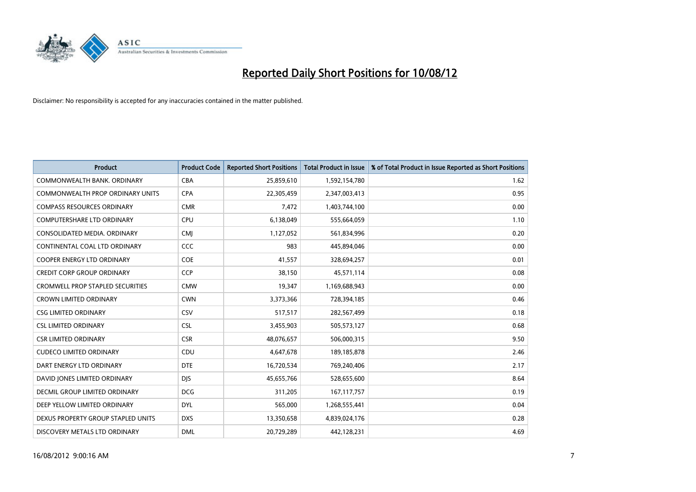

| <b>Product</b>                          | <b>Product Code</b> | <b>Reported Short Positions</b> | <b>Total Product in Issue</b> | % of Total Product in Issue Reported as Short Positions |
|-----------------------------------------|---------------------|---------------------------------|-------------------------------|---------------------------------------------------------|
| COMMONWEALTH BANK, ORDINARY             | <b>CBA</b>          | 25,859,610                      | 1,592,154,780                 | 1.62                                                    |
| COMMONWEALTH PROP ORDINARY UNITS        | <b>CPA</b>          | 22,305,459                      | 2,347,003,413                 | 0.95                                                    |
| <b>COMPASS RESOURCES ORDINARY</b>       | <b>CMR</b>          | 7,472                           | 1,403,744,100                 | 0.00                                                    |
| COMPUTERSHARE LTD ORDINARY              | <b>CPU</b>          | 6,138,049                       | 555,664,059                   | 1.10                                                    |
| CONSOLIDATED MEDIA, ORDINARY            | <b>CMI</b>          | 1,127,052                       | 561,834,996                   | 0.20                                                    |
| CONTINENTAL COAL LTD ORDINARY           | CCC                 | 983                             | 445,894,046                   | 0.00                                                    |
| <b>COOPER ENERGY LTD ORDINARY</b>       | <b>COE</b>          | 41,557                          | 328,694,257                   | 0.01                                                    |
| <b>CREDIT CORP GROUP ORDINARY</b>       | CCP                 | 38,150                          | 45,571,114                    | 0.08                                                    |
| <b>CROMWELL PROP STAPLED SECURITIES</b> | <b>CMW</b>          | 19,347                          | 1,169,688,943                 | 0.00                                                    |
| <b>CROWN LIMITED ORDINARY</b>           | <b>CWN</b>          | 3,373,366                       | 728,394,185                   | 0.46                                                    |
| <b>CSG LIMITED ORDINARY</b>             | CSV                 | 517,517                         | 282,567,499                   | 0.18                                                    |
| <b>CSL LIMITED ORDINARY</b>             | <b>CSL</b>          | 3,455,903                       | 505,573,127                   | 0.68                                                    |
| <b>CSR LIMITED ORDINARY</b>             | <b>CSR</b>          | 48,076,657                      | 506,000,315                   | 9.50                                                    |
| <b>CUDECO LIMITED ORDINARY</b>          | CDU                 | 4,647,678                       | 189, 185, 878                 | 2.46                                                    |
| DART ENERGY LTD ORDINARY                | <b>DTE</b>          | 16,720,534                      | 769,240,406                   | 2.17                                                    |
| DAVID JONES LIMITED ORDINARY            | <b>DIS</b>          | 45,655,766                      | 528,655,600                   | 8.64                                                    |
| <b>DECMIL GROUP LIMITED ORDINARY</b>    | <b>DCG</b>          | 311,205                         | 167, 117, 757                 | 0.19                                                    |
| DEEP YELLOW LIMITED ORDINARY            | <b>DYL</b>          | 565,000                         | 1,268,555,441                 | 0.04                                                    |
| DEXUS PROPERTY GROUP STAPLED UNITS      | <b>DXS</b>          | 13,350,658                      | 4,839,024,176                 | 0.28                                                    |
| DISCOVERY METALS LTD ORDINARY           | <b>DML</b>          | 20,729,289                      | 442,128,231                   | 4.69                                                    |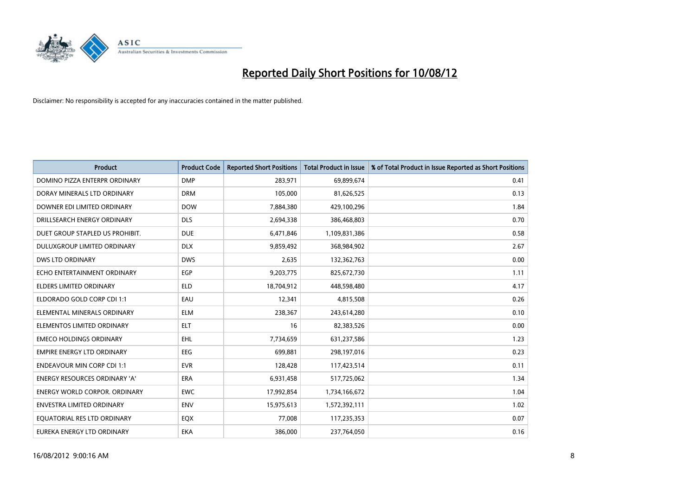

| <b>Product</b>                    | <b>Product Code</b> | <b>Reported Short Positions</b> | <b>Total Product in Issue</b> | % of Total Product in Issue Reported as Short Positions |
|-----------------------------------|---------------------|---------------------------------|-------------------------------|---------------------------------------------------------|
| DOMINO PIZZA ENTERPR ORDINARY     | <b>DMP</b>          | 283,971                         | 69,899,674                    | 0.41                                                    |
| DORAY MINERALS LTD ORDINARY       | <b>DRM</b>          | 105,000                         | 81,626,525                    | 0.13                                                    |
| DOWNER EDI LIMITED ORDINARY       | <b>DOW</b>          | 7,884,380                       | 429,100,296                   | 1.84                                                    |
| DRILLSEARCH ENERGY ORDINARY       | <b>DLS</b>          | 2,694,338                       | 386,468,803                   | 0.70                                                    |
| DUET GROUP STAPLED US PROHIBIT.   | <b>DUE</b>          | 6,471,846                       | 1,109,831,386                 | 0.58                                                    |
| DULUXGROUP LIMITED ORDINARY       | <b>DLX</b>          | 9,859,492                       | 368,984,902                   | 2.67                                                    |
| DWS LTD ORDINARY                  | <b>DWS</b>          | 2,635                           | 132,362,763                   | 0.00                                                    |
| ECHO ENTERTAINMENT ORDINARY       | <b>EGP</b>          | 9,203,775                       | 825,672,730                   | 1.11                                                    |
| <b>ELDERS LIMITED ORDINARY</b>    | <b>ELD</b>          | 18,704,912                      | 448,598,480                   | 4.17                                                    |
| ELDORADO GOLD CORP CDI 1:1        | EAU                 | 12,341                          | 4,815,508                     | 0.26                                                    |
| ELEMENTAL MINERALS ORDINARY       | <b>ELM</b>          | 238,367                         | 243,614,280                   | 0.10                                                    |
| ELEMENTOS LIMITED ORDINARY        | <b>ELT</b>          | 16                              | 82,383,526                    | 0.00                                                    |
| <b>EMECO HOLDINGS ORDINARY</b>    | <b>EHL</b>          | 7,734,659                       | 631,237,586                   | 1.23                                                    |
| <b>EMPIRE ENERGY LTD ORDINARY</b> | EEG                 | 699,881                         | 298,197,016                   | 0.23                                                    |
| <b>ENDEAVOUR MIN CORP CDI 1:1</b> | <b>EVR</b>          | 128,428                         | 117,423,514                   | 0.11                                                    |
| ENERGY RESOURCES ORDINARY 'A'     | <b>ERA</b>          | 6,931,458                       | 517,725,062                   | 1.34                                                    |
| ENERGY WORLD CORPOR. ORDINARY     | <b>EWC</b>          | 17,992,854                      | 1,734,166,672                 | 1.04                                                    |
| ENVESTRA LIMITED ORDINARY         | <b>ENV</b>          | 15,975,613                      | 1,572,392,111                 | 1.02                                                    |
| EQUATORIAL RES LTD ORDINARY       | EQX                 | 77,008                          | 117,235,353                   | 0.07                                                    |
| EUREKA ENERGY LTD ORDINARY        | <b>EKA</b>          | 386,000                         | 237,764,050                   | 0.16                                                    |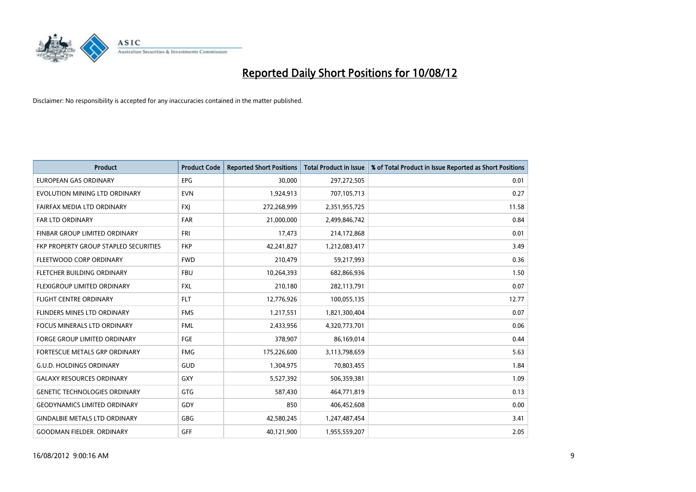

| <b>Product</b>                               | <b>Product Code</b> | <b>Reported Short Positions</b> | <b>Total Product in Issue</b> | % of Total Product in Issue Reported as Short Positions |
|----------------------------------------------|---------------------|---------------------------------|-------------------------------|---------------------------------------------------------|
| <b>EUROPEAN GAS ORDINARY</b>                 | EPG                 | 30,000                          | 297,272,505                   | 0.01                                                    |
| EVOLUTION MINING LTD ORDINARY                | <b>EVN</b>          | 1,924,913                       | 707,105,713                   | 0.27                                                    |
| FAIRFAX MEDIA LTD ORDINARY                   | <b>FXI</b>          | 272,268,999                     | 2,351,955,725                 | 11.58                                                   |
| <b>FAR LTD ORDINARY</b>                      | <b>FAR</b>          | 21,000,000                      | 2,499,846,742                 | 0.84                                                    |
| <b>FINBAR GROUP LIMITED ORDINARY</b>         | <b>FRI</b>          | 17,473                          | 214,172,868                   | 0.01                                                    |
| <b>FKP PROPERTY GROUP STAPLED SECURITIES</b> | <b>FKP</b>          | 42,241,827                      | 1,212,083,417                 | 3.49                                                    |
| FLEETWOOD CORP ORDINARY                      | <b>FWD</b>          | 210,479                         | 59,217,993                    | 0.36                                                    |
| FLETCHER BUILDING ORDINARY                   | <b>FBU</b>          | 10,264,393                      | 682,866,936                   | 1.50                                                    |
| FLEXIGROUP LIMITED ORDINARY                  | <b>FXL</b>          | 210,180                         | 282,113,791                   | 0.07                                                    |
| <b>FLIGHT CENTRE ORDINARY</b>                | <b>FLT</b>          | 12,776,926                      | 100,055,135                   | 12.77                                                   |
| <b>FLINDERS MINES LTD ORDINARY</b>           | <b>FMS</b>          | 1,217,551                       | 1,821,300,404                 | 0.07                                                    |
| <b>FOCUS MINERALS LTD ORDINARY</b>           | <b>FML</b>          | 2,433,956                       | 4,320,773,701                 | 0.06                                                    |
| <b>FORGE GROUP LIMITED ORDINARY</b>          | FGE                 | 378,907                         | 86,169,014                    | 0.44                                                    |
| <b>FORTESCUE METALS GRP ORDINARY</b>         | <b>FMG</b>          | 175,226,600                     | 3,113,798,659                 | 5.63                                                    |
| <b>G.U.D. HOLDINGS ORDINARY</b>              | <b>GUD</b>          | 1,304,975                       | 70,803,455                    | 1.84                                                    |
| <b>GALAXY RESOURCES ORDINARY</b>             | GXY                 | 5,527,392                       | 506,359,381                   | 1.09                                                    |
| <b>GENETIC TECHNOLOGIES ORDINARY</b>         | GTG                 | 587,430                         | 464,771,819                   | 0.13                                                    |
| <b>GEODYNAMICS LIMITED ORDINARY</b>          | GDY                 | 850                             | 406,452,608                   | 0.00                                                    |
| <b>GINDALBIE METALS LTD ORDINARY</b>         | GBG                 | 42,580,245                      | 1,247,487,454                 | 3.41                                                    |
| <b>GOODMAN FIELDER, ORDINARY</b>             | <b>GFF</b>          | 40,121,900                      | 1,955,559,207                 | 2.05                                                    |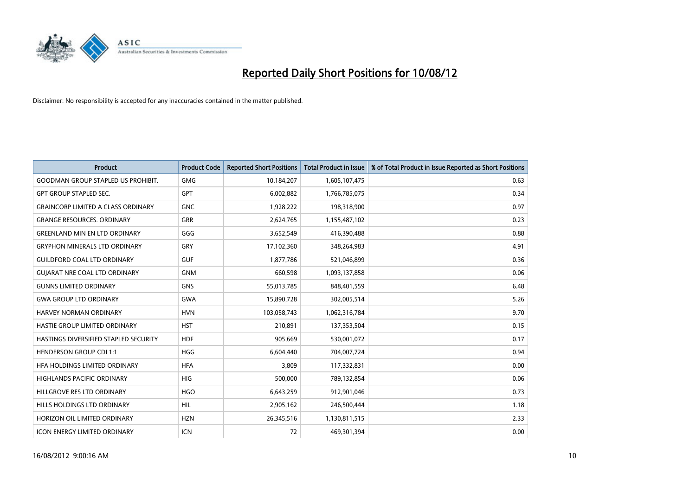

| <b>Product</b>                            | <b>Product Code</b> | <b>Reported Short Positions</b> | <b>Total Product in Issue</b> | % of Total Product in Issue Reported as Short Positions |
|-------------------------------------------|---------------------|---------------------------------|-------------------------------|---------------------------------------------------------|
| <b>GOODMAN GROUP STAPLED US PROHIBIT.</b> | <b>GMG</b>          | 10,184,207                      | 1,605,107,475                 | 0.63                                                    |
| <b>GPT GROUP STAPLED SEC.</b>             | <b>GPT</b>          | 6,002,882                       | 1,766,785,075                 | 0.34                                                    |
| <b>GRAINCORP LIMITED A CLASS ORDINARY</b> | <b>GNC</b>          | 1,928,222                       | 198,318,900                   | 0.97                                                    |
| <b>GRANGE RESOURCES, ORDINARY</b>         | <b>GRR</b>          | 2,624,765                       | 1,155,487,102                 | 0.23                                                    |
| <b>GREENLAND MIN EN LTD ORDINARY</b>      | GGG                 | 3,652,549                       | 416,390,488                   | 0.88                                                    |
| <b>GRYPHON MINERALS LTD ORDINARY</b>      | GRY                 | 17,102,360                      | 348,264,983                   | 4.91                                                    |
| <b>GUILDFORD COAL LTD ORDINARY</b>        | <b>GUF</b>          | 1,877,786                       | 521,046,899                   | 0.36                                                    |
| <b>GUIARAT NRE COAL LTD ORDINARY</b>      | <b>GNM</b>          | 660,598                         | 1,093,137,858                 | 0.06                                                    |
| <b>GUNNS LIMITED ORDINARY</b>             | <b>GNS</b>          | 55,013,785                      | 848,401,559                   | 6.48                                                    |
| <b>GWA GROUP LTD ORDINARY</b>             | <b>GWA</b>          | 15,890,728                      | 302,005,514                   | 5.26                                                    |
| HARVEY NORMAN ORDINARY                    | <b>HVN</b>          | 103,058,743                     | 1,062,316,784                 | 9.70                                                    |
| <b>HASTIE GROUP LIMITED ORDINARY</b>      | <b>HST</b>          | 210,891                         | 137,353,504                   | 0.15                                                    |
| HASTINGS DIVERSIFIED STAPLED SECURITY     | <b>HDF</b>          | 905,669                         | 530,001,072                   | 0.17                                                    |
| <b>HENDERSON GROUP CDI 1:1</b>            | HGG                 | 6,604,440                       | 704,007,724                   | 0.94                                                    |
| HFA HOLDINGS LIMITED ORDINARY             | <b>HFA</b>          | 3,809                           | 117,332,831                   | 0.00                                                    |
| <b>HIGHLANDS PACIFIC ORDINARY</b>         | <b>HIG</b>          | 500,000                         | 789,132,854                   | 0.06                                                    |
| HILLGROVE RES LTD ORDINARY                | <b>HGO</b>          | 6,643,259                       | 912,901,046                   | 0.73                                                    |
| HILLS HOLDINGS LTD ORDINARY               | <b>HIL</b>          | 2,905,162                       | 246,500,444                   | 1.18                                                    |
| HORIZON OIL LIMITED ORDINARY              | <b>HZN</b>          | 26,345,516                      | 1,130,811,515                 | 2.33                                                    |
| <b>ICON ENERGY LIMITED ORDINARY</b>       | <b>ICN</b>          | 72                              | 469,301,394                   | 0.00                                                    |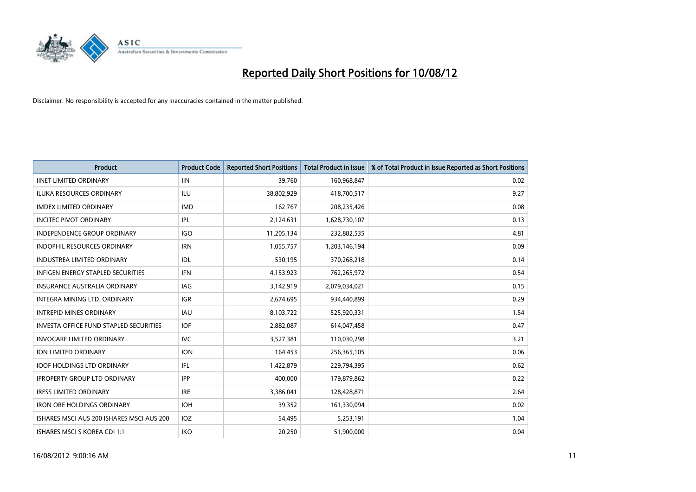

| <b>Product</b>                                | <b>Product Code</b> | <b>Reported Short Positions</b> | <b>Total Product in Issue</b> | % of Total Product in Issue Reported as Short Positions |
|-----------------------------------------------|---------------------|---------------------------------|-------------------------------|---------------------------------------------------------|
| <b>IINET LIMITED ORDINARY</b>                 | <b>IIN</b>          | 39,760                          | 160,968,847                   | 0.02                                                    |
| ILUKA RESOURCES ORDINARY                      | ILU                 | 38,802,929                      | 418,700,517                   | 9.27                                                    |
| <b>IMDEX LIMITED ORDINARY</b>                 | <b>IMD</b>          | 162,767                         | 208,235,426                   | 0.08                                                    |
| <b>INCITEC PIVOT ORDINARY</b>                 | IPL                 | 2,124,631                       | 1,628,730,107                 | 0.13                                                    |
| <b>INDEPENDENCE GROUP ORDINARY</b>            | <b>IGO</b>          | 11,205,134                      | 232,882,535                   | 4.81                                                    |
| <b>INDOPHIL RESOURCES ORDINARY</b>            | <b>IRN</b>          | 1,055,757                       | 1,203,146,194                 | 0.09                                                    |
| <b>INDUSTREA LIMITED ORDINARY</b>             | <b>IDL</b>          | 530,195                         | 370,268,218                   | 0.14                                                    |
| <b>INFIGEN ENERGY STAPLED SECURITIES</b>      | <b>IFN</b>          | 4,153,923                       | 762,265,972                   | 0.54                                                    |
| <b>INSURANCE AUSTRALIA ORDINARY</b>           | <b>IAG</b>          | 3,142,919                       | 2,079,034,021                 | 0.15                                                    |
| <b>INTEGRA MINING LTD, ORDINARY</b>           | <b>IGR</b>          | 2,674,695                       | 934,440,899                   | 0.29                                                    |
| <b>INTREPID MINES ORDINARY</b>                | <b>IAU</b>          | 8,103,722                       | 525,920,331                   | 1.54                                                    |
| <b>INVESTA OFFICE FUND STAPLED SECURITIES</b> | <b>IOF</b>          | 2,882,087                       | 614,047,458                   | 0.47                                                    |
| INVOCARE LIMITED ORDINARY                     | <b>IVC</b>          | 3,527,381                       | 110,030,298                   | 3.21                                                    |
| <b>ION LIMITED ORDINARY</b>                   | <b>ION</b>          | 164,453                         | 256,365,105                   | 0.06                                                    |
| <b>IOOF HOLDINGS LTD ORDINARY</b>             | <b>IFL</b>          | 1,422,879                       | 229,794,395                   | 0.62                                                    |
| <b>IPROPERTY GROUP LTD ORDINARY</b>           | <b>IPP</b>          | 400,000                         | 179,879,862                   | 0.22                                                    |
| <b>IRESS LIMITED ORDINARY</b>                 | <b>IRE</b>          | 3,386,041                       | 128,428,871                   | 2.64                                                    |
| <b>IRON ORE HOLDINGS ORDINARY</b>             | <b>IOH</b>          | 39,352                          | 161,330,094                   | 0.02                                                    |
| ISHARES MSCI AUS 200 ISHARES MSCI AUS 200     | <b>IOZ</b>          | 54,495                          | 5,253,191                     | 1.04                                                    |
| ISHARES MSCI S KOREA CDI 1:1                  | IKO                 | 20,250                          | 51,900,000                    | 0.04                                                    |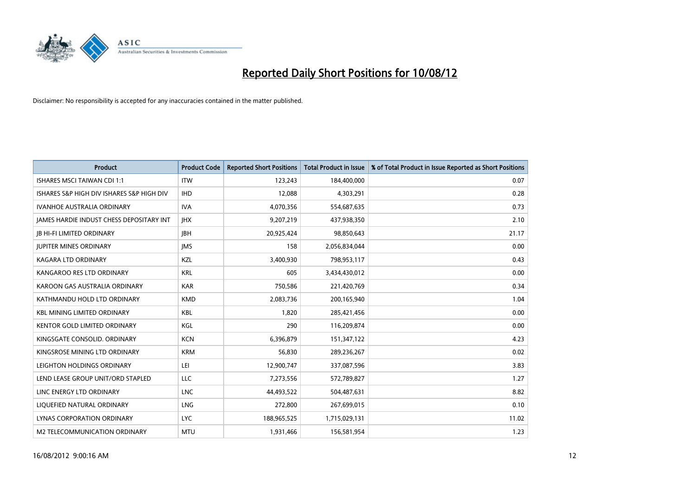

| <b>Product</b>                            | <b>Product Code</b> | <b>Reported Short Positions</b> | <b>Total Product in Issue</b> | % of Total Product in Issue Reported as Short Positions |
|-------------------------------------------|---------------------|---------------------------------|-------------------------------|---------------------------------------------------------|
| <b>ISHARES MSCI TAIWAN CDI 1:1</b>        | <b>ITW</b>          | 123,243                         | 184,400,000                   | 0.07                                                    |
| ISHARES S&P HIGH DIV ISHARES S&P HIGH DIV | <b>IHD</b>          | 12,088                          | 4,303,291                     | 0.28                                                    |
| <b>IVANHOE AUSTRALIA ORDINARY</b>         | <b>IVA</b>          | 4,070,356                       | 554,687,635                   | 0.73                                                    |
| JAMES HARDIE INDUST CHESS DEPOSITARY INT  | <b>IHX</b>          | 9,207,219                       | 437,938,350                   | 2.10                                                    |
| <b>IB HI-FI LIMITED ORDINARY</b>          | <b>IBH</b>          | 20,925,424                      | 98,850,643                    | 21.17                                                   |
| <b>JUPITER MINES ORDINARY</b>             | <b>IMS</b>          | 158                             | 2,056,834,044                 | 0.00                                                    |
| <b>KAGARA LTD ORDINARY</b>                | <b>KZL</b>          | 3,400,930                       | 798,953,117                   | 0.43                                                    |
| KANGAROO RES LTD ORDINARY                 | <b>KRL</b>          | 605                             | 3,434,430,012                 | 0.00                                                    |
| KAROON GAS AUSTRALIA ORDINARY             | <b>KAR</b>          | 750,586                         | 221,420,769                   | 0.34                                                    |
| KATHMANDU HOLD LTD ORDINARY               | <b>KMD</b>          | 2,083,736                       | 200,165,940                   | 1.04                                                    |
| KBL MINING LIMITED ORDINARY               | <b>KBL</b>          | 1,820                           | 285,421,456                   | 0.00                                                    |
| <b>KENTOR GOLD LIMITED ORDINARY</b>       | KGL                 | 290                             | 116,209,874                   | 0.00                                                    |
| KINGSGATE CONSOLID. ORDINARY              | <b>KCN</b>          | 6,396,879                       | 151,347,122                   | 4.23                                                    |
| KINGSROSE MINING LTD ORDINARY             | <b>KRM</b>          | 56,830                          | 289,236,267                   | 0.02                                                    |
| LEIGHTON HOLDINGS ORDINARY                | LEI                 | 12,900,747                      | 337,087,596                   | 3.83                                                    |
| LEND LEASE GROUP UNIT/ORD STAPLED         | LLC                 | 7,273,556                       | 572,789,827                   | 1.27                                                    |
| LINC ENERGY LTD ORDINARY                  | <b>LNC</b>          | 44,493,522                      | 504,487,631                   | 8.82                                                    |
| LIQUEFIED NATURAL ORDINARY                | <b>LNG</b>          | 272,800                         | 267,699,015                   | 0.10                                                    |
| <b>LYNAS CORPORATION ORDINARY</b>         | <b>LYC</b>          | 188,965,525                     | 1,715,029,131                 | 11.02                                                   |
| M2 TELECOMMUNICATION ORDINARY             | <b>MTU</b>          | 1,931,466                       | 156,581,954                   | 1.23                                                    |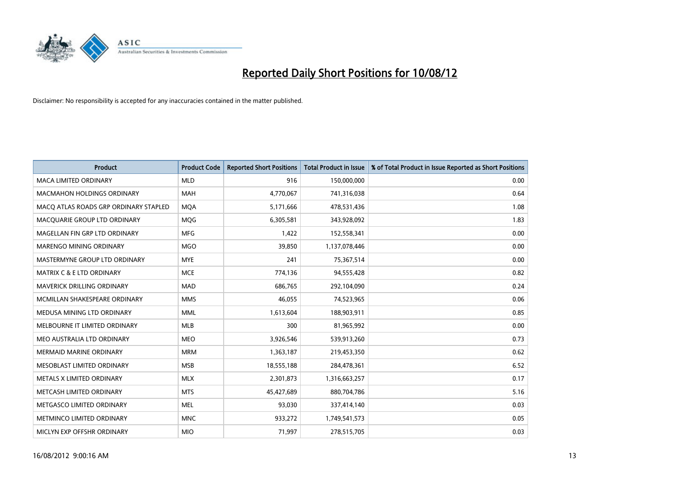

| <b>Product</b>                        | <b>Product Code</b> | <b>Reported Short Positions</b> | <b>Total Product in Issue</b> | % of Total Product in Issue Reported as Short Positions |
|---------------------------------------|---------------------|---------------------------------|-------------------------------|---------------------------------------------------------|
| <b>MACA LIMITED ORDINARY</b>          | <b>MLD</b>          | 916                             | 150,000,000                   | 0.00                                                    |
| <b>MACMAHON HOLDINGS ORDINARY</b>     | <b>MAH</b>          | 4,770,067                       | 741,316,038                   | 0.64                                                    |
| MACO ATLAS ROADS GRP ORDINARY STAPLED | <b>MOA</b>          | 5,171,666                       | 478,531,436                   | 1.08                                                    |
| MACQUARIE GROUP LTD ORDINARY          | MQG                 | 6,305,581                       | 343,928,092                   | 1.83                                                    |
| MAGELLAN FIN GRP LTD ORDINARY         | <b>MFG</b>          | 1,422                           | 152,558,341                   | 0.00                                                    |
| <b>MARENGO MINING ORDINARY</b>        | <b>MGO</b>          | 39,850                          | 1,137,078,446                 | 0.00                                                    |
| MASTERMYNE GROUP LTD ORDINARY         | <b>MYE</b>          | 241                             | 75,367,514                    | 0.00                                                    |
| MATRIX C & E LTD ORDINARY             | <b>MCE</b>          | 774,136                         | 94,555,428                    | 0.82                                                    |
| <b>MAVERICK DRILLING ORDINARY</b>     | <b>MAD</b>          | 686,765                         | 292,104,090                   | 0.24                                                    |
| MCMILLAN SHAKESPEARE ORDINARY         | <b>MMS</b>          | 46,055                          | 74,523,965                    | 0.06                                                    |
| MEDUSA MINING LTD ORDINARY            | <b>MML</b>          | 1,613,604                       | 188,903,911                   | 0.85                                                    |
| MELBOURNE IT LIMITED ORDINARY         | <b>MLB</b>          | 300                             | 81,965,992                    | 0.00                                                    |
| MEO AUSTRALIA LTD ORDINARY            | <b>MEO</b>          | 3,926,546                       | 539,913,260                   | 0.73                                                    |
| <b>MERMAID MARINE ORDINARY</b>        | <b>MRM</b>          | 1,363,187                       | 219,453,350                   | 0.62                                                    |
| MESOBLAST LIMITED ORDINARY            | <b>MSB</b>          | 18,555,188                      | 284,478,361                   | 6.52                                                    |
| METALS X LIMITED ORDINARY             | <b>MLX</b>          | 2,301,873                       | 1,316,663,257                 | 0.17                                                    |
| METCASH LIMITED ORDINARY              | <b>MTS</b>          | 45,427,689                      | 880,704,786                   | 5.16                                                    |
| METGASCO LIMITED ORDINARY             | <b>MEL</b>          | 93,030                          | 337,414,140                   | 0.03                                                    |
| METMINCO LIMITED ORDINARY             | <b>MNC</b>          | 933,272                         | 1,749,541,573                 | 0.05                                                    |
| MICLYN EXP OFFSHR ORDINARY            | <b>MIO</b>          | 71,997                          | 278,515,705                   | 0.03                                                    |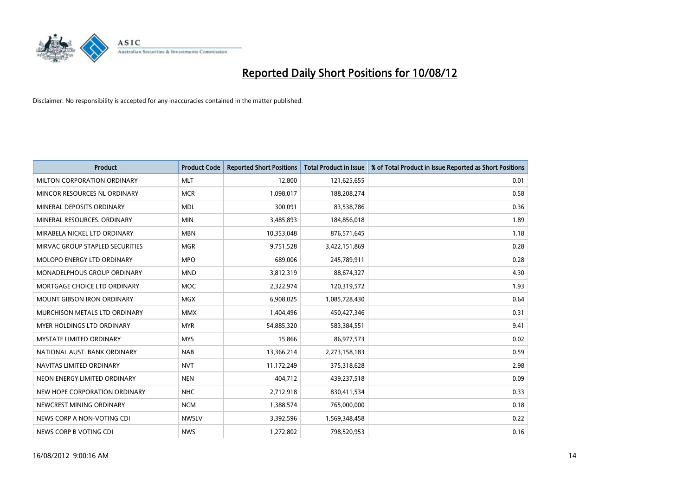

| <b>Product</b>                     | <b>Product Code</b> | <b>Reported Short Positions</b> | <b>Total Product in Issue</b> | % of Total Product in Issue Reported as Short Positions |
|------------------------------------|---------------------|---------------------------------|-------------------------------|---------------------------------------------------------|
| MILTON CORPORATION ORDINARY        | <b>MLT</b>          | 12,800                          | 121,625,655                   | 0.01                                                    |
| MINCOR RESOURCES NL ORDINARY       | <b>MCR</b>          | 1,098,017                       | 188,208,274                   | 0.58                                                    |
| MINERAL DEPOSITS ORDINARY          | <b>MDL</b>          | 300,091                         | 83,538,786                    | 0.36                                                    |
| MINERAL RESOURCES. ORDINARY        | <b>MIN</b>          | 3,485,893                       | 184,856,018                   | 1.89                                                    |
| MIRABELA NICKEL LTD ORDINARY       | <b>MBN</b>          | 10,353,048                      | 876,571,645                   | 1.18                                                    |
| MIRVAC GROUP STAPLED SECURITIES    | <b>MGR</b>          | 9,751,528                       | 3,422,151,869                 | 0.28                                                    |
| MOLOPO ENERGY LTD ORDINARY         | <b>MPO</b>          | 689,006                         | 245,789,911                   | 0.28                                                    |
| <b>MONADELPHOUS GROUP ORDINARY</b> | <b>MND</b>          | 3,812,319                       | 88,674,327                    | 4.30                                                    |
| MORTGAGE CHOICE LTD ORDINARY       | <b>MOC</b>          | 2,322,974                       | 120,319,572                   | 1.93                                                    |
| <b>MOUNT GIBSON IRON ORDINARY</b>  | <b>MGX</b>          | 6,908,025                       | 1,085,728,430                 | 0.64                                                    |
| MURCHISON METALS LTD ORDINARY      | <b>MMX</b>          | 1,404,496                       | 450,427,346                   | 0.31                                                    |
| <b>MYER HOLDINGS LTD ORDINARY</b>  | <b>MYR</b>          | 54,885,320                      | 583,384,551                   | 9.41                                                    |
| <b>MYSTATE LIMITED ORDINARY</b>    | <b>MYS</b>          | 15,866                          | 86,977,573                    | 0.02                                                    |
| NATIONAL AUST. BANK ORDINARY       | <b>NAB</b>          | 13,366,214                      | 2,273,158,183                 | 0.59                                                    |
| NAVITAS LIMITED ORDINARY           | <b>NVT</b>          | 11,172,249                      | 375,318,628                   | 2.98                                                    |
| NEON ENERGY LIMITED ORDINARY       | <b>NEN</b>          | 404,712                         | 439,237,518                   | 0.09                                                    |
| NEW HOPE CORPORATION ORDINARY      | <b>NHC</b>          | 2,712,918                       | 830,411,534                   | 0.33                                                    |
| NEWCREST MINING ORDINARY           | <b>NCM</b>          | 1,388,574                       | 765,000,000                   | 0.18                                                    |
| NEWS CORP A NON-VOTING CDI         | <b>NWSLV</b>        | 3,392,596                       | 1,569,348,458                 | 0.22                                                    |
| NEWS CORP B VOTING CDI             | <b>NWS</b>          | 1,272,802                       | 798,520,953                   | 0.16                                                    |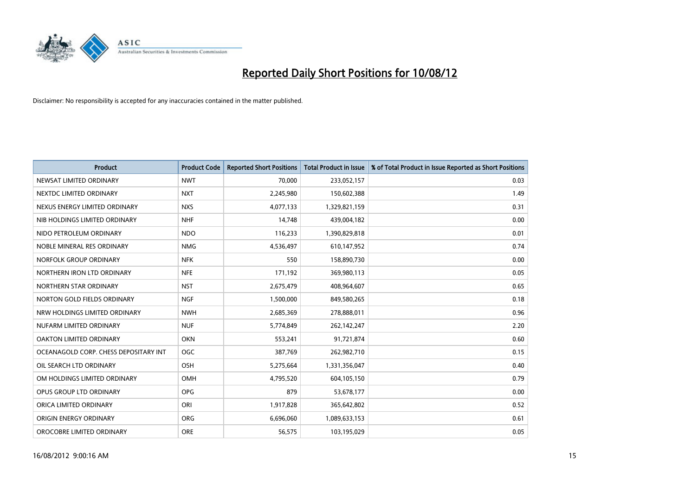

| <b>Product</b>                        | <b>Product Code</b> | <b>Reported Short Positions</b> | <b>Total Product in Issue</b> | % of Total Product in Issue Reported as Short Positions |
|---------------------------------------|---------------------|---------------------------------|-------------------------------|---------------------------------------------------------|
| NEWSAT LIMITED ORDINARY               | <b>NWT</b>          | 70.000                          | 233,052,157                   | 0.03                                                    |
| NEXTDC LIMITED ORDINARY               | <b>NXT</b>          | 2,245,980                       | 150,602,388                   | 1.49                                                    |
| NEXUS ENERGY LIMITED ORDINARY         | <b>NXS</b>          | 4,077,133                       | 1,329,821,159                 | 0.31                                                    |
| NIB HOLDINGS LIMITED ORDINARY         | <b>NHF</b>          | 14,748                          | 439,004,182                   | 0.00                                                    |
| NIDO PETROLEUM ORDINARY               | <b>NDO</b>          | 116,233                         | 1,390,829,818                 | 0.01                                                    |
| NOBLE MINERAL RES ORDINARY            | <b>NMG</b>          | 4,536,497                       | 610,147,952                   | 0.74                                                    |
| NORFOLK GROUP ORDINARY                | <b>NFK</b>          | 550                             | 158,890,730                   | 0.00                                                    |
| NORTHERN IRON LTD ORDINARY            | <b>NFE</b>          | 171,192                         | 369,980,113                   | 0.05                                                    |
| NORTHERN STAR ORDINARY                | <b>NST</b>          | 2,675,479                       | 408,964,607                   | 0.65                                                    |
| NORTON GOLD FIELDS ORDINARY           | <b>NGF</b>          | 1,500,000                       | 849,580,265                   | 0.18                                                    |
| NRW HOLDINGS LIMITED ORDINARY         | <b>NWH</b>          | 2,685,369                       | 278,888,011                   | 0.96                                                    |
| NUFARM LIMITED ORDINARY               | <b>NUF</b>          | 5,774,849                       | 262,142,247                   | 2.20                                                    |
| OAKTON LIMITED ORDINARY               | <b>OKN</b>          | 553,241                         | 91,721,874                    | 0.60                                                    |
| OCEANAGOLD CORP. CHESS DEPOSITARY INT | <b>OGC</b>          | 387,769                         | 262,982,710                   | 0.15                                                    |
| OIL SEARCH LTD ORDINARY               | OSH                 | 5,275,664                       | 1,331,356,047                 | 0.40                                                    |
| OM HOLDINGS LIMITED ORDINARY          | OMH                 | 4,795,520                       | 604,105,150                   | 0.79                                                    |
| OPUS GROUP LTD ORDINARY               | <b>OPG</b>          | 879                             | 53,678,177                    | 0.00                                                    |
| ORICA LIMITED ORDINARY                | ORI                 | 1,917,828                       | 365,642,802                   | 0.52                                                    |
| ORIGIN ENERGY ORDINARY                | <b>ORG</b>          | 6,696,060                       | 1,089,633,153                 | 0.61                                                    |
| OROCOBRE LIMITED ORDINARY             | <b>ORE</b>          | 56,575                          | 103,195,029                   | 0.05                                                    |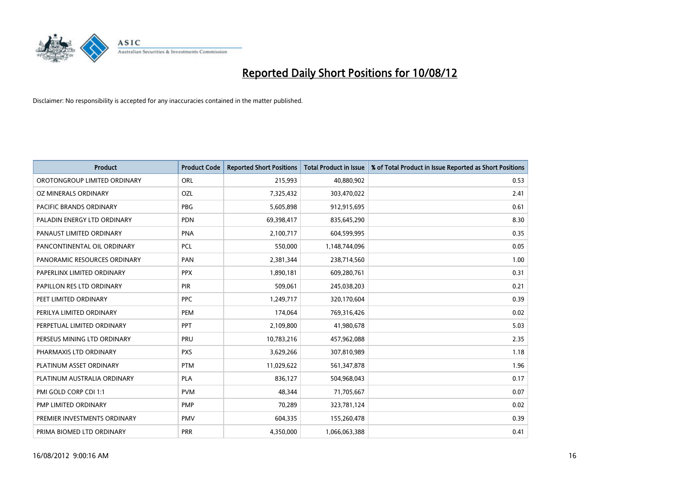

| <b>Product</b>               | <b>Product Code</b> | <b>Reported Short Positions</b> | <b>Total Product in Issue</b> | % of Total Product in Issue Reported as Short Positions |
|------------------------------|---------------------|---------------------------------|-------------------------------|---------------------------------------------------------|
| OROTONGROUP LIMITED ORDINARY | ORL                 | 215,993                         | 40,880,902                    | 0.53                                                    |
| OZ MINERALS ORDINARY         | OZL                 | 7,325,432                       | 303,470,022                   | 2.41                                                    |
| PACIFIC BRANDS ORDINARY      | <b>PBG</b>          | 5,605,898                       | 912,915,695                   | 0.61                                                    |
| PALADIN ENERGY LTD ORDINARY  | <b>PDN</b>          | 69,398,417                      | 835,645,290                   | 8.30                                                    |
| PANAUST LIMITED ORDINARY     | PNA                 | 2,100,717                       | 604,599,995                   | 0.35                                                    |
| PANCONTINENTAL OIL ORDINARY  | <b>PCL</b>          | 550,000                         | 1,148,744,096                 | 0.05                                                    |
| PANORAMIC RESOURCES ORDINARY | PAN                 | 2,381,344                       | 238,714,560                   | 1.00                                                    |
| PAPERLINX LIMITED ORDINARY   | <b>PPX</b>          | 1,890,181                       | 609,280,761                   | 0.31                                                    |
| PAPILLON RES LTD ORDINARY    | <b>PIR</b>          | 509,061                         | 245,038,203                   | 0.21                                                    |
| PEET LIMITED ORDINARY        | <b>PPC</b>          | 1,249,717                       | 320,170,604                   | 0.39                                                    |
| PERILYA LIMITED ORDINARY     | PEM                 | 174,064                         | 769,316,426                   | 0.02                                                    |
| PERPETUAL LIMITED ORDINARY   | PPT                 | 2,109,800                       | 41,980,678                    | 5.03                                                    |
| PERSEUS MINING LTD ORDINARY  | PRU                 | 10,783,216                      | 457,962,088                   | 2.35                                                    |
| PHARMAXIS LTD ORDINARY       | <b>PXS</b>          | 3,629,266                       | 307,810,989                   | 1.18                                                    |
| PLATINUM ASSET ORDINARY      | <b>PTM</b>          | 11,029,622                      | 561,347,878                   | 1.96                                                    |
| PLATINUM AUSTRALIA ORDINARY  | <b>PLA</b>          | 836,127                         | 504,968,043                   | 0.17                                                    |
| PMI GOLD CORP CDI 1:1        | <b>PVM</b>          | 48,344                          | 71,705,667                    | 0.07                                                    |
| PMP LIMITED ORDINARY         | <b>PMP</b>          | 70,289                          | 323,781,124                   | 0.02                                                    |
| PREMIER INVESTMENTS ORDINARY | <b>PMV</b>          | 604,335                         | 155,260,478                   | 0.39                                                    |
| PRIMA BIOMED LTD ORDINARY    | <b>PRR</b>          | 4,350,000                       | 1,066,063,388                 | 0.41                                                    |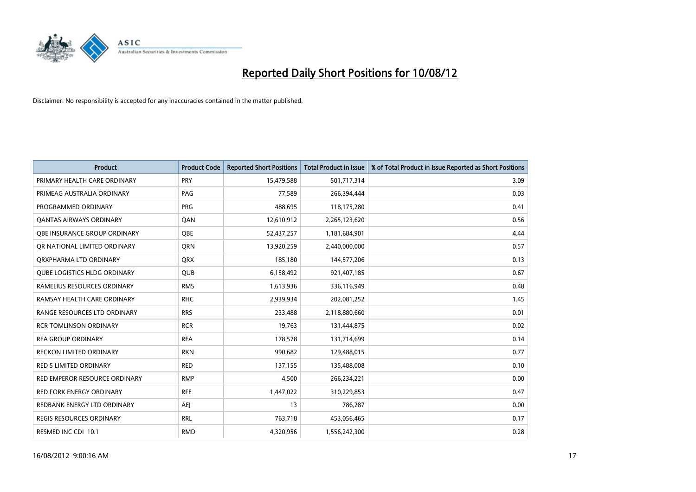

| <b>Product</b>                      | <b>Product Code</b> | <b>Reported Short Positions</b> | <b>Total Product in Issue</b> | % of Total Product in Issue Reported as Short Positions |
|-------------------------------------|---------------------|---------------------------------|-------------------------------|---------------------------------------------------------|
| PRIMARY HEALTH CARE ORDINARY        | <b>PRY</b>          | 15,479,588                      | 501,717,314                   | 3.09                                                    |
| PRIMEAG AUSTRALIA ORDINARY          | <b>PAG</b>          | 77,589                          | 266,394,444                   | 0.03                                                    |
| PROGRAMMED ORDINARY                 | <b>PRG</b>          | 488,695                         | 118,175,280                   | 0.41                                                    |
| <b>QANTAS AIRWAYS ORDINARY</b>      | QAN                 | 12,610,912                      | 2,265,123,620                 | 0.56                                                    |
| OBE INSURANCE GROUP ORDINARY        | <b>OBE</b>          | 52,437,257                      | 1,181,684,901                 | 4.44                                                    |
| OR NATIONAL LIMITED ORDINARY        | <b>ORN</b>          | 13,920,259                      | 2,440,000,000                 | 0.57                                                    |
| ORXPHARMA LTD ORDINARY              | <b>QRX</b>          | 185,180                         | 144,577,206                   | 0.13                                                    |
| <b>QUBE LOGISTICS HLDG ORDINARY</b> | QUB                 | 6,158,492                       | 921,407,185                   | 0.67                                                    |
| RAMELIUS RESOURCES ORDINARY         | <b>RMS</b>          | 1,613,936                       | 336,116,949                   | 0.48                                                    |
| RAMSAY HEALTH CARE ORDINARY         | <b>RHC</b>          | 2,939,934                       | 202,081,252                   | 1.45                                                    |
| RANGE RESOURCES LTD ORDINARY        | <b>RRS</b>          | 233,488                         | 2,118,880,660                 | 0.01                                                    |
| <b>RCR TOMLINSON ORDINARY</b>       | <b>RCR</b>          | 19,763                          | 131,444,875                   | 0.02                                                    |
| <b>REA GROUP ORDINARY</b>           | <b>REA</b>          | 178,578                         | 131,714,699                   | 0.14                                                    |
| <b>RECKON LIMITED ORDINARY</b>      | <b>RKN</b>          | 990,682                         | 129,488,015                   | 0.77                                                    |
| <b>RED 5 LIMITED ORDINARY</b>       | <b>RED</b>          | 137,155                         | 135,488,008                   | 0.10                                                    |
| RED EMPEROR RESOURCE ORDINARY       | <b>RMP</b>          | 4,500                           | 266,234,221                   | 0.00                                                    |
| RED FORK ENERGY ORDINARY            | <b>RFE</b>          | 1,447,022                       | 310,229,853                   | 0.47                                                    |
| REDBANK ENERGY LTD ORDINARY         | AEJ                 | 13                              | 786,287                       | 0.00                                                    |
| <b>REGIS RESOURCES ORDINARY</b>     | <b>RRL</b>          | 763,718                         | 453,056,465                   | 0.17                                                    |
| RESMED INC CDI 10:1                 | <b>RMD</b>          | 4,320,956                       | 1,556,242,300                 | 0.28                                                    |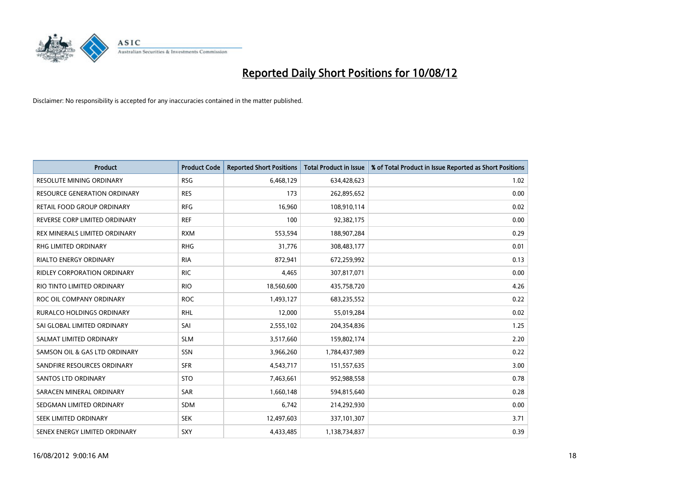

| <b>Product</b>                  | <b>Product Code</b> | <b>Reported Short Positions</b> | <b>Total Product in Issue</b> | % of Total Product in Issue Reported as Short Positions |
|---------------------------------|---------------------|---------------------------------|-------------------------------|---------------------------------------------------------|
| <b>RESOLUTE MINING ORDINARY</b> | <b>RSG</b>          | 6,468,129                       | 634,428,623                   | 1.02                                                    |
| RESOURCE GENERATION ORDINARY    | <b>RES</b>          | 173                             | 262,895,652                   | 0.00                                                    |
| RETAIL FOOD GROUP ORDINARY      | <b>RFG</b>          | 16,960                          | 108,910,114                   | 0.02                                                    |
| REVERSE CORP LIMITED ORDINARY   | <b>REF</b>          | 100                             | 92,382,175                    | 0.00                                                    |
| REX MINERALS LIMITED ORDINARY   | <b>RXM</b>          | 553,594                         | 188,907,284                   | 0.29                                                    |
| <b>RHG LIMITED ORDINARY</b>     | <b>RHG</b>          | 31,776                          | 308,483,177                   | 0.01                                                    |
| <b>RIALTO ENERGY ORDINARY</b>   | <b>RIA</b>          | 872,941                         | 672,259,992                   | 0.13                                                    |
| RIDLEY CORPORATION ORDINARY     | <b>RIC</b>          | 4,465                           | 307,817,071                   | 0.00                                                    |
| RIO TINTO LIMITED ORDINARY      | <b>RIO</b>          | 18,560,600                      | 435,758,720                   | 4.26                                                    |
| ROC OIL COMPANY ORDINARY        | <b>ROC</b>          | 1,493,127                       | 683,235,552                   | 0.22                                                    |
| RURALCO HOLDINGS ORDINARY       | <b>RHL</b>          | 12,000                          | 55,019,284                    | 0.02                                                    |
| SAI GLOBAL LIMITED ORDINARY     | SAI                 | 2,555,102                       | 204,354,836                   | 1.25                                                    |
| SALMAT LIMITED ORDINARY         | <b>SLM</b>          | 3,517,660                       | 159,802,174                   | 2.20                                                    |
| SAMSON OIL & GAS LTD ORDINARY   | SSN                 | 3,966,260                       | 1,784,437,989                 | 0.22                                                    |
| SANDFIRE RESOURCES ORDINARY     | <b>SFR</b>          | 4,543,717                       | 151,557,635                   | 3.00                                                    |
| SANTOS LTD ORDINARY             | <b>STO</b>          | 7,463,661                       | 952,988,558                   | 0.78                                                    |
| SARACEN MINERAL ORDINARY        | SAR                 | 1,660,148                       | 594,815,640                   | 0.28                                                    |
| SEDGMAN LIMITED ORDINARY        | <b>SDM</b>          | 6,742                           | 214,292,930                   | 0.00                                                    |
| <b>SEEK LIMITED ORDINARY</b>    | <b>SEK</b>          | 12,497,603                      | 337,101,307                   | 3.71                                                    |
| SENEX ENERGY LIMITED ORDINARY   | SXY                 | 4,433,485                       | 1,138,734,837                 | 0.39                                                    |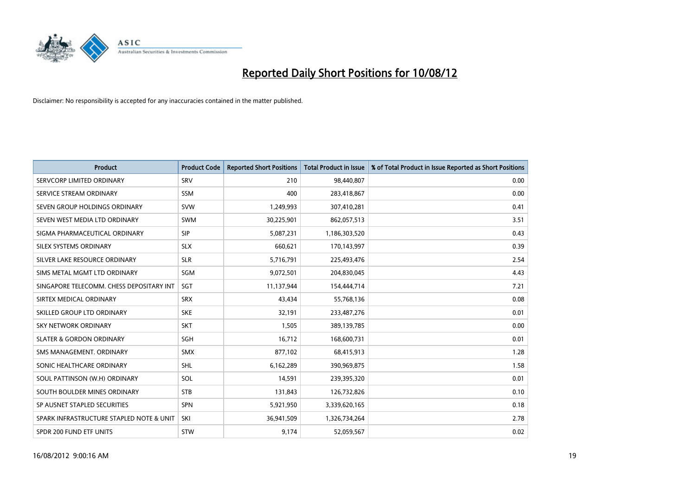

| <b>Product</b>                           | <b>Product Code</b> | <b>Reported Short Positions</b> | <b>Total Product in Issue</b> | % of Total Product in Issue Reported as Short Positions |
|------------------------------------------|---------------------|---------------------------------|-------------------------------|---------------------------------------------------------|
| SERVCORP LIMITED ORDINARY                | SRV                 | 210                             | 98,440,807                    | 0.00                                                    |
| SERVICE STREAM ORDINARY                  | <b>SSM</b>          | 400                             | 283,418,867                   | 0.00                                                    |
| SEVEN GROUP HOLDINGS ORDINARY            | <b>SVW</b>          | 1,249,993                       | 307,410,281                   | 0.41                                                    |
| SEVEN WEST MEDIA LTD ORDINARY            | <b>SWM</b>          | 30,225,901                      | 862,057,513                   | 3.51                                                    |
| SIGMA PHARMACEUTICAL ORDINARY            | <b>SIP</b>          | 5,087,231                       | 1,186,303,520                 | 0.43                                                    |
| SILEX SYSTEMS ORDINARY                   | <b>SLX</b>          | 660.621                         | 170,143,997                   | 0.39                                                    |
| SILVER LAKE RESOURCE ORDINARY            | <b>SLR</b>          | 5,716,791                       | 225,493,476                   | 2.54                                                    |
| SIMS METAL MGMT LTD ORDINARY             | SGM                 | 9,072,501                       | 204,830,045                   | 4.43                                                    |
| SINGAPORE TELECOMM. CHESS DEPOSITARY INT | SGT                 | 11,137,944                      | 154,444,714                   | 7.21                                                    |
| SIRTEX MEDICAL ORDINARY                  | <b>SRX</b>          | 43,434                          | 55,768,136                    | 0.08                                                    |
| SKILLED GROUP LTD ORDINARY               | <b>SKE</b>          | 32,191                          | 233,487,276                   | 0.01                                                    |
| <b>SKY NETWORK ORDINARY</b>              | <b>SKT</b>          | 1,505                           | 389,139,785                   | 0.00                                                    |
| <b>SLATER &amp; GORDON ORDINARY</b>      | SGH                 | 16,712                          | 168,600,731                   | 0.01                                                    |
| SMS MANAGEMENT, ORDINARY                 | <b>SMX</b>          | 877,102                         | 68,415,913                    | 1.28                                                    |
| SONIC HEALTHCARE ORDINARY                | <b>SHL</b>          | 6,162,289                       | 390,969,875                   | 1.58                                                    |
| SOUL PATTINSON (W.H) ORDINARY            | SOL                 | 14,591                          | 239,395,320                   | 0.01                                                    |
| SOUTH BOULDER MINES ORDINARY             | <b>STB</b>          | 131,843                         | 126,732,826                   | 0.10                                                    |
| SP AUSNET STAPLED SECURITIES             | <b>SPN</b>          | 5,921,950                       | 3,339,620,165                 | 0.18                                                    |
| SPARK INFRASTRUCTURE STAPLED NOTE & UNIT | SKI                 | 36,941,509                      | 1,326,734,264                 | 2.78                                                    |
| SPDR 200 FUND ETF UNITS                  | <b>STW</b>          | 9,174                           | 52,059,567                    | 0.02                                                    |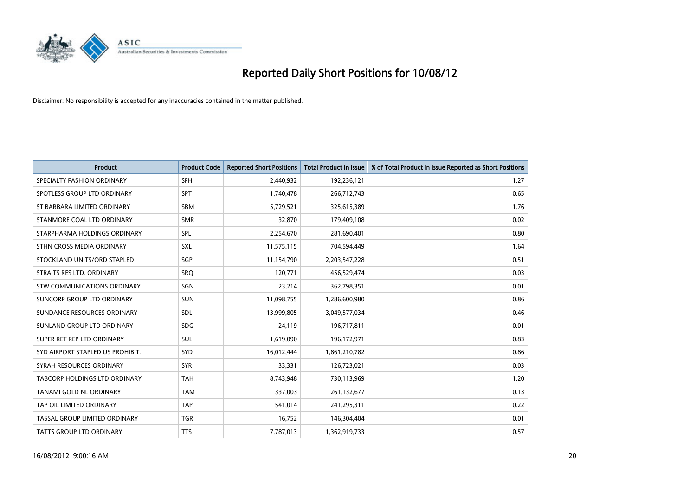

| <b>Product</b>                   | <b>Product Code</b> | <b>Reported Short Positions</b> | <b>Total Product in Issue</b> | % of Total Product in Issue Reported as Short Positions |
|----------------------------------|---------------------|---------------------------------|-------------------------------|---------------------------------------------------------|
| SPECIALTY FASHION ORDINARY       | <b>SFH</b>          | 2,440,932                       | 192,236,121                   | 1.27                                                    |
| SPOTLESS GROUP LTD ORDINARY      | <b>SPT</b>          | 1,740,478                       | 266,712,743                   | 0.65                                                    |
| ST BARBARA LIMITED ORDINARY      | <b>SBM</b>          | 5,729,521                       | 325,615,389                   | 1.76                                                    |
| STANMORE COAL LTD ORDINARY       | <b>SMR</b>          | 32,870                          | 179,409,108                   | 0.02                                                    |
| STARPHARMA HOLDINGS ORDINARY     | <b>SPL</b>          | 2,254,670                       | 281,690,401                   | 0.80                                                    |
| STHN CROSS MEDIA ORDINARY        | <b>SXL</b>          | 11,575,115                      | 704,594,449                   | 1.64                                                    |
| STOCKLAND UNITS/ORD STAPLED      | <b>SGP</b>          | 11,154,790                      | 2,203,547,228                 | 0.51                                                    |
| STRAITS RES LTD. ORDINARY        | SRO                 | 120,771                         | 456,529,474                   | 0.03                                                    |
| STW COMMUNICATIONS ORDINARY      | SGN                 | 23,214                          | 362,798,351                   | 0.01                                                    |
| SUNCORP GROUP LTD ORDINARY       | <b>SUN</b>          | 11,098,755                      | 1,286,600,980                 | 0.86                                                    |
| SUNDANCE RESOURCES ORDINARY      | SDL                 | 13,999,805                      | 3,049,577,034                 | 0.46                                                    |
| SUNLAND GROUP LTD ORDINARY       | <b>SDG</b>          | 24,119                          | 196,717,811                   | 0.01                                                    |
| SUPER RET REP LTD ORDINARY       | SUL                 | 1,619,090                       | 196,172,971                   | 0.83                                                    |
| SYD AIRPORT STAPLED US PROHIBIT. | <b>SYD</b>          | 16,012,444                      | 1,861,210,782                 | 0.86                                                    |
| SYRAH RESOURCES ORDINARY         | <b>SYR</b>          | 33,331                          | 126,723,021                   | 0.03                                                    |
| TABCORP HOLDINGS LTD ORDINARY    | <b>TAH</b>          | 8,743,948                       | 730,113,969                   | 1.20                                                    |
| TANAMI GOLD NL ORDINARY          | <b>TAM</b>          | 337,003                         | 261,132,677                   | 0.13                                                    |
| TAP OIL LIMITED ORDINARY         | <b>TAP</b>          | 541,014                         | 241,295,311                   | 0.22                                                    |
| TASSAL GROUP LIMITED ORDINARY    | <b>TGR</b>          | 16,752                          | 146,304,404                   | 0.01                                                    |
| TATTS GROUP LTD ORDINARY         | <b>TTS</b>          | 7,787,013                       | 1,362,919,733                 | 0.57                                                    |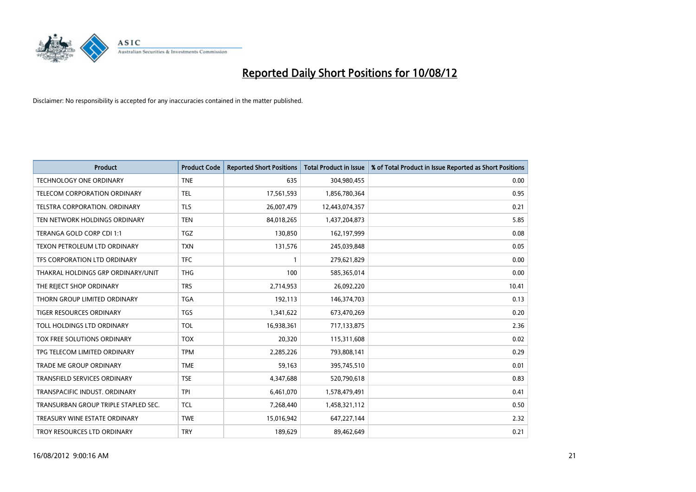

| <b>Product</b>                       | <b>Product Code</b> | <b>Reported Short Positions</b> | <b>Total Product in Issue</b> | % of Total Product in Issue Reported as Short Positions |
|--------------------------------------|---------------------|---------------------------------|-------------------------------|---------------------------------------------------------|
| <b>TECHNOLOGY ONE ORDINARY</b>       | <b>TNE</b>          | 635                             | 304,980,455                   | 0.00                                                    |
| <b>TELECOM CORPORATION ORDINARY</b>  | <b>TEL</b>          | 17,561,593                      | 1,856,780,364                 | 0.95                                                    |
| <b>TELSTRA CORPORATION, ORDINARY</b> | <b>TLS</b>          | 26,007,479                      | 12,443,074,357                | 0.21                                                    |
| TEN NETWORK HOLDINGS ORDINARY        | <b>TEN</b>          | 84,018,265                      | 1,437,204,873                 | 5.85                                                    |
| TERANGA GOLD CORP CDI 1:1            | <b>TGZ</b>          | 130.850                         | 162,197,999                   | 0.08                                                    |
| TEXON PETROLEUM LTD ORDINARY         | <b>TXN</b>          | 131,576                         | 245,039,848                   | 0.05                                                    |
| TFS CORPORATION LTD ORDINARY         | <b>TFC</b>          |                                 | 279,621,829                   | 0.00                                                    |
| THAKRAL HOLDINGS GRP ORDINARY/UNIT   | <b>THG</b>          | 100                             | 585,365,014                   | 0.00                                                    |
| THE REJECT SHOP ORDINARY             | <b>TRS</b>          | 2,714,953                       | 26,092,220                    | 10.41                                                   |
| THORN GROUP LIMITED ORDINARY         | <b>TGA</b>          | 192,113                         | 146,374,703                   | 0.13                                                    |
| <b>TIGER RESOURCES ORDINARY</b>      | <b>TGS</b>          | 1,341,622                       | 673,470,269                   | 0.20                                                    |
| TOLL HOLDINGS LTD ORDINARY           | <b>TOL</b>          | 16,938,361                      | 717,133,875                   | 2.36                                                    |
| <b>TOX FREE SOLUTIONS ORDINARY</b>   | <b>TOX</b>          | 20.320                          | 115,311,608                   | 0.02                                                    |
| TPG TELECOM LIMITED ORDINARY         | <b>TPM</b>          | 2,285,226                       | 793,808,141                   | 0.29                                                    |
| <b>TRADE ME GROUP ORDINARY</b>       | <b>TME</b>          | 59,163                          | 395,745,510                   | 0.01                                                    |
| TRANSFIELD SERVICES ORDINARY         | <b>TSE</b>          | 4,347,688                       | 520,790,618                   | 0.83                                                    |
| TRANSPACIFIC INDUST, ORDINARY        | <b>TPI</b>          | 6,461,070                       | 1,578,479,491                 | 0.41                                                    |
| TRANSURBAN GROUP TRIPLE STAPLED SEC. | <b>TCL</b>          | 7,268,440                       | 1,458,321,112                 | 0.50                                                    |
| TREASURY WINE ESTATE ORDINARY        | <b>TWE</b>          | 15,016,942                      | 647,227,144                   | 2.32                                                    |
| TROY RESOURCES LTD ORDINARY          | <b>TRY</b>          | 189.629                         | 89,462,649                    | 0.21                                                    |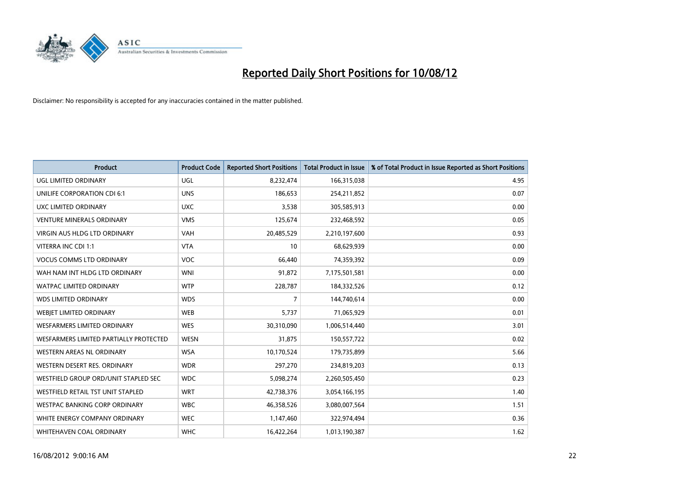

| <b>Product</b>                         | <b>Product Code</b> | <b>Reported Short Positions</b> | <b>Total Product in Issue</b> | % of Total Product in Issue Reported as Short Positions |
|----------------------------------------|---------------------|---------------------------------|-------------------------------|---------------------------------------------------------|
| UGL LIMITED ORDINARY                   | <b>UGL</b>          | 8,232,474                       | 166,315,038                   | 4.95                                                    |
| UNILIFE CORPORATION CDI 6:1            | <b>UNS</b>          | 186,653                         | 254,211,852                   | 0.07                                                    |
| UXC LIMITED ORDINARY                   | <b>UXC</b>          | 3,538                           | 305,585,913                   | 0.00                                                    |
| <b>VENTURE MINERALS ORDINARY</b>       | <b>VMS</b>          | 125,674                         | 232,468,592                   | 0.05                                                    |
| <b>VIRGIN AUS HLDG LTD ORDINARY</b>    | <b>VAH</b>          | 20,485,529                      | 2,210,197,600                 | 0.93                                                    |
| VITERRA INC CDI 1:1                    | <b>VTA</b>          | 10                              | 68,629,939                    | 0.00                                                    |
| <b>VOCUS COMMS LTD ORDINARY</b>        | <b>VOC</b>          | 66,440                          | 74,359,392                    | 0.09                                                    |
| WAH NAM INT HLDG LTD ORDINARY          | <b>WNI</b>          | 91,872                          | 7,175,501,581                 | 0.00                                                    |
| <b>WATPAC LIMITED ORDINARY</b>         | <b>WTP</b>          | 228,787                         | 184,332,526                   | 0.12                                                    |
| <b>WDS LIMITED ORDINARY</b>            | <b>WDS</b>          | 7                               | 144,740,614                   | 0.00                                                    |
| WEBJET LIMITED ORDINARY                | <b>WEB</b>          | 5,737                           | 71,065,929                    | 0.01                                                    |
| <b>WESFARMERS LIMITED ORDINARY</b>     | <b>WES</b>          | 30,310,090                      | 1,006,514,440                 | 3.01                                                    |
| WESFARMERS LIMITED PARTIALLY PROTECTED | <b>WESN</b>         | 31,875                          | 150,557,722                   | 0.02                                                    |
| <b>WESTERN AREAS NL ORDINARY</b>       | <b>WSA</b>          | 10,170,524                      | 179,735,899                   | 5.66                                                    |
| WESTERN DESERT RES. ORDINARY           | <b>WDR</b>          | 297,270                         | 234,819,203                   | 0.13                                                    |
| WESTFIELD GROUP ORD/UNIT STAPLED SEC   | <b>WDC</b>          | 5,098,274                       | 2,260,505,450                 | 0.23                                                    |
| WESTFIELD RETAIL TST UNIT STAPLED      | <b>WRT</b>          | 42,738,376                      | 3,054,166,195                 | 1.40                                                    |
| <b>WESTPAC BANKING CORP ORDINARY</b>   | <b>WBC</b>          | 46,358,526                      | 3,080,007,564                 | 1.51                                                    |
| WHITE ENERGY COMPANY ORDINARY          | <b>WEC</b>          | 1,147,460                       | 322,974,494                   | 0.36                                                    |
| WHITEHAVEN COAL ORDINARY               | <b>WHC</b>          | 16,422,264                      | 1,013,190,387                 | 1.62                                                    |